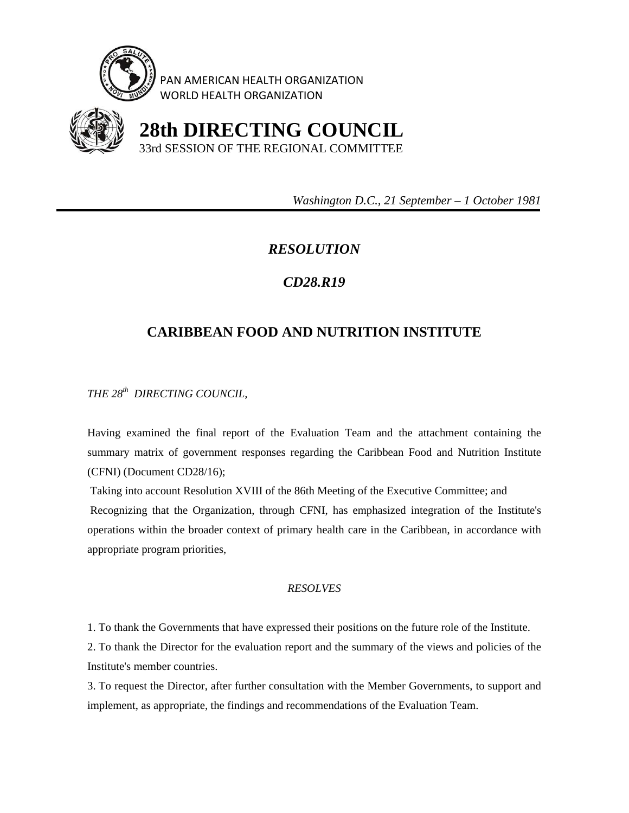

PAN AMERICAN HEALTH ORGANIZATION WORLD HEALTH ORGANIZATION



 **28th DIRECTING COUNCIL** 33rd SESSION OF THE REGIONAL COMMITTEE

 *Washington D.C., 21 September – 1 October 1981* 

## *RESOLUTION*

## *CD28.R19*

## **CARIBBEAN FOOD AND NUTRITION INSTITUTE**

*THE 28th DIRECTING COUNCIL,* 

Having examined the final report of the Evaluation Team and the attachment containing the summary matrix of government responses regarding the Caribbean Food and Nutrition Institute (CFNI) (Document CD28/16);

 Taking into account Resolution XVIII of the 86th Meeting of the Executive Committee; and Recognizing that the Organization, through CFNI, has emphasized integration of the Institute's operations within the broader context of primary health care in the Caribbean, in accordance with appropriate program priorities,

## *RESOLVES*

1. To thank the Governments that have expressed their positions on the future role of the Institute.

2. To thank the Director for the evaluation report and the summary of the views and policies of the Institute's member countries.

3. To request the Director, after further consultation with the Member Governments, to support and implement, as appropriate, the findings and recommendations of the Evaluation Team.